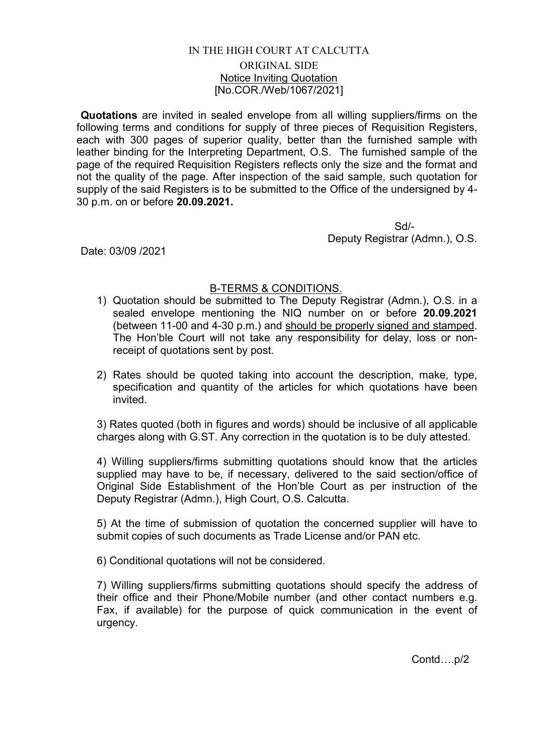## IN THE HIGH COURT AT CALCUTTA ORIGINAL SIDE Notice Inviting Quotation [No.COR./Web/1067/2021]

Quotations are invited in sealed envelope from all willing suppliers/firms on the following terms and conditions for supply of three pieces of Requisition Registers, each with 300 pages of superior quality, better than the furnished sample with leather binding for the Interpreting Department, O.S. The furnished sample of the page of the required Requisition Registers reflects only the size and the format and not the quality of the page. After inspection of the said sample, such quotation for supply of the said Registers is to be submitted to the Office of the undersigned by 4- 30 p.m. on or before 20.09.2021.

 Sd/- Deputy Registrar (Admn.), O.S.

Date: 03/09 /2021

## B-TERMS & CONDITIONS.

- 1) Quotation should be submitted to The Deputy Registrar (Admn.), O.S. in a sealed envelope mentioning the NIQ number on or before 20.09.2021 (between 11-00 and 4-30 p.m.) and should be properly signed and stamped. The Hon'ble Court will not take any responsibility for delay, loss or nonreceipt of quotations sent by post.
- 2) Rates should be quoted taking into account the description, make, type, specification and quantity of the articles for which quotations have been invited.

3) Rates quoted (both in figures and words) should be inclusive of all applicable charges along with G.ST. Any correction in the quotation is to be duly attested.

4) Willing suppliers/firms submitting quotations should know that the articles supplied may have to be, if necessary, delivered to the said section/office of Original Side Establishment of the Hon'ble Court as per instruction of the Deputy Registrar (Admn.), High Court, O.S. Calcutta.

5) At the time of submission of quotation the concerned supplier will have to submit copies of such documents as Trade License and/or PAN etc.

6) Conditional quotations will not be considered.

7) Willing suppliers/firms submitting quotations should specify the address of their office and their Phone/Mobile number (and other contact numbers e.g. Fax, if available) for the purpose of quick communication in the event of urgency.

Contd….p/2